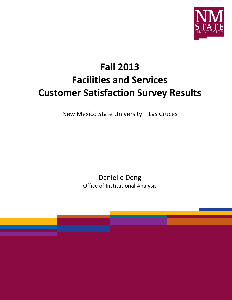

# **Fall 2013 Facilities and Services Customer Satisfaction Survey Results**

New Mexico State University – Las Cruces

Danielle Deng Office of Institutional Analysis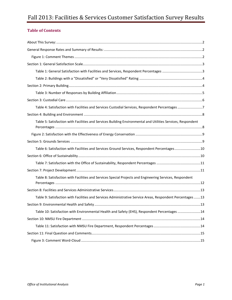# Fall 2013: Facilities & Services Customer Satisfaction Survey Results

# **Table of Contents**

| Table 4: Satisfaction with Facilities and Services Custodial Services, Respondent Percentages 7              |
|--------------------------------------------------------------------------------------------------------------|
|                                                                                                              |
| Table 5: Satisfaction with Facilities and Services Building Environmental and Utilities Services, Respondent |
|                                                                                                              |
|                                                                                                              |
| Table 6: Satisfaction with Facilities and Services Ground Services, Respondent Percentages10                 |
|                                                                                                              |
|                                                                                                              |
|                                                                                                              |
| Table 8: Satisfaction with Facilities and Services Special Projects and Engineering Services, Respondent     |
|                                                                                                              |
| Table 9: Satisfaction with Facilities and Services Administrative Service Areas, Respondent Percentages 13   |
|                                                                                                              |
| Table 10: Satisfaction with Environmental Health and Safety (EHS), Respondent Percentages 14                 |
|                                                                                                              |
|                                                                                                              |
|                                                                                                              |
|                                                                                                              |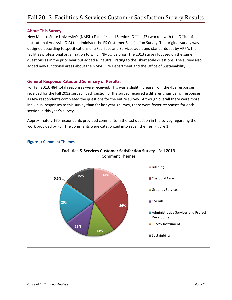#### <span id="page-2-0"></span>**About This Survey:**

New Mexico State University's (NMSU) Facilities and Services Office (FS) worked with the Office of Institutional Analysis (OIA) to administer the FS Customer Satisfaction Survey. The original survey was designed according to specifications of a Facilities and Services audit and standards set by APPA, the facilities professional organization to which NMSU belongs. The 2013 survey focused on the same questions as in the prior year but added a "neutral" rating to the Likert scale questions. The survey also added new functional areas about the NMSU Fire Department and the Office of Sustainability.

#### <span id="page-2-1"></span>**General Response Rates and Summary of Results:**

For Fall 2013, 484 total responses were received. This was a slight increase from the 452 responses received for the Fall 2012 survey. Each section of the survey received a different number of responses as few respondents completed the questions for the entire survey. Although overall there were more individual responses to this survey than for last year's survey, there were fewer responses for each section in this year's survey.

Approximately 160 respondents provided comments in the last question in the survey regarding the work provided by FS. The comments were categorized into seven themes (Figure 1).



#### <span id="page-2-2"></span>**Figure 1: Comment Themes**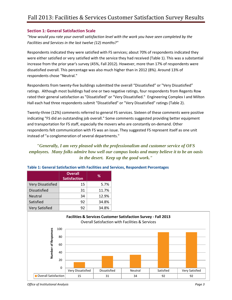#### <span id="page-3-0"></span>**Section 1: General Satisfaction Scale**

*"How would you rate your overall satisfaction level with the work you have seen completed by the Facilities and Services in the last twelve (12) months?"*

Respondents indicated they were satisfied with FS services; about 70% of respondents indicated they were either satisfied or very satisfied with the service they had received (Table 1). This was a substantial increase from the prior year's survey (45%, Fall 2012). However, more than 17% of respondents were dissatisfied overall. This percentage was also much higher than in 2012 (8%). Around 13% of respondents chose "Neutral."

Respondents from twenty-five buildings submitted the overall "Dissatisfied" or "Very Dissatisfied" ratings. Although most buildings had one or two negative ratings, four respondents from Regents Row rated their general satisfaction as "Dissatisfied" or "Very Dissatisfied." Engineering Complex I and Milton Hall each had three respondents submit "Dissatisfied" or "Very Dissatisfied" ratings (Table 2).

Twenty-three (12%) comments referred to general FS services. Sixteen of these comments were positive indicating "FS did an outstanding job overall." Some comments suggested providing better equipment and transportation for FS staff, especially the movers who are constantly on-demand. Other respondents felt communication with FS was an issue. They suggested FS represent itself as one unit instead of "a conglomeration of several departments."

*"Generally, I am very pleased with the professionalism and customer service of OFS employees. Many folks admire how well our campus looks and many believe it to be an oasis in the desert. Keep up the good work."* 

|                          | <b>Overall</b><br><b>Satisfaction</b> | ℅     |
|--------------------------|---------------------------------------|-------|
| <b>Very Dissatisfied</b> | 15                                    | 5.7%  |
| <b>Dissatisfied</b>      | 31                                    | 11.7% |
| Neutral                  | 34                                    | 12.9% |
| Satisfied                | 92                                    | 34.8% |
| <b>Very Satisfied</b>    | 92                                    | 34.8% |

#### <span id="page-3-1"></span>**Table 1: General Satisfaction with Facilities and Services, Respondent Percentages**



*Office of Institutional Analysis Page 3*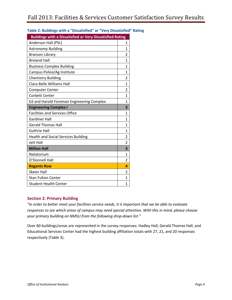| <b>Buildings with a Dissatisfied or Very Dissatisfied Rating</b> |                |  |  |  |
|------------------------------------------------------------------|----------------|--|--|--|
| Anderson Hall (PSL)                                              | 1              |  |  |  |
| <b>Astronomy Building</b>                                        | 1              |  |  |  |
| <b>Branson Library</b>                                           | 2              |  |  |  |
| <b>Breland Hall</b>                                              | 1              |  |  |  |
| <b>Business Complex Building</b>                                 | 1              |  |  |  |
| Campus Police/Ag Institute                                       | 1              |  |  |  |
| <b>Chemistry Building</b>                                        | $\overline{2}$ |  |  |  |
| Clara Belle Williams Hall                                        | 1              |  |  |  |
| <b>Computer Center</b>                                           | $\overline{2}$ |  |  |  |
| <b>Corbett Center</b>                                            | 1              |  |  |  |
| Ed and Harold Foreman Engineering Complex                        | 1              |  |  |  |
| <b>Engineering Complex I</b>                                     | 3              |  |  |  |
| <b>Facilities and Services Office</b>                            | 1              |  |  |  |
| <b>Gardiner Hall</b>                                             | 1              |  |  |  |
| <b>Gerald Thomas Hall</b>                                        | 1              |  |  |  |
| <b>Guthrie Hall</b>                                              | 1              |  |  |  |
| <b>Health and Social Services Building</b>                       | 2              |  |  |  |
| Jett Hall                                                        | $\overline{2}$ |  |  |  |
| <b>Milton Hall</b>                                               | 3              |  |  |  |
| Natatorium                                                       | 1              |  |  |  |
| O'Donnell Hall                                                   | $\overline{2}$ |  |  |  |
| <b>Regents Row</b>                                               | 4              |  |  |  |
| <b>Skeen Hall</b>                                                | 2              |  |  |  |
| <b>Stan Fulton Center</b>                                        | 1              |  |  |  |
| <b>Student Health Center</b>                                     | 1              |  |  |  |

## <span id="page-4-0"></span>**Table 2: Buildings with a "Dissatisfied" or "Very Dissatisfied" Rating**

#### <span id="page-4-1"></span>**Section 2: Primary Building**

*"In order to better meet your facilities service needs, it is important that we be able to evaluate responses to see which areas of campus may need special attention. With this in mind, please choose your primary building on NMSU from the following drop-down list."* 

Over 60 buildings/areas are represented in the survey responses. Hadley Hall, Gerald Thomas Hall, and Educational Services Center had the highest building affiliation totals with 27, 21, and 20 responses respectively (Table 3).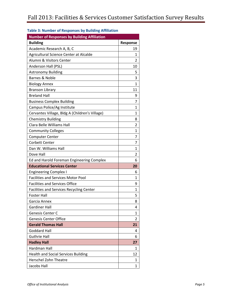| <b>Number of Responses by Building Affiliation</b> |                |
|----------------------------------------------------|----------------|
| <b>Building</b>                                    | Response       |
| Academic Research A, B, C                          | 19             |
| Agricultural Science Center at Alcalde             | 1              |
| Alumni & Visitors Center                           | 2              |
| Anderson Hall (PSL)                                | 10             |
| <b>Astronomy Building</b>                          | 5              |
| Barnes & Noble                                     | 3              |
| <b>Biology Annex</b>                               | $\mathbf{1}$   |
| <b>Branson Library</b>                             | 11             |
| <b>Breland Hall</b>                                | 9              |
| <b>Business Complex Building</b>                   | 7              |
| Campus Police/Ag Institute                         | 1              |
| Cervantes Village, Bldg A (Children's Village)     | 1              |
| <b>Chemistry Building</b>                          | 8              |
| Clara Belle Williams Hall                          | 2              |
| <b>Community Colleges</b>                          | 1              |
| <b>Computer Center</b>                             | 7              |
| <b>Corbett Center</b>                              | 7              |
| Dan W. Williams Hall                               | 1              |
| Dove Hall                                          | $\overline{2}$ |
| Ed and Harold Foreman Engineering Complex          | 6              |
| <b>Educational Services Center</b>                 | 20             |
| <b>Engineering Complex I</b>                       | 6              |
| <b>Facilities and Services Motor Pool</b>          | $\mathbf{1}$   |
| <b>Facilities and Services Office</b>              | 9              |
| Facilities and Services Recycling Center           | 1              |
| <b>Foster Hall</b>                                 | 5              |
| Garcia Annex                                       | 8              |
| Gardiner Hall                                      | 4              |
| <b>Genesis Center C</b>                            | 1              |
| <b>Genesis Center Office</b>                       | 2              |
| <b>Gerald Thomas Hall</b>                          | 21             |
| Goddard Hall                                       | 4              |
| <b>Guthrie Hall</b>                                | 6              |
| <b>Hadley Hall</b>                                 | 27             |
| Hardman Hall                                       | 1              |
| <b>Health and Social Services Building</b>         | 12             |
| Herschel Zohn Theatre                              | 1              |
| Jacobs Hall                                        | 1              |

#### <span id="page-5-0"></span>**Table 3: Number of Responses by Building Affiliation**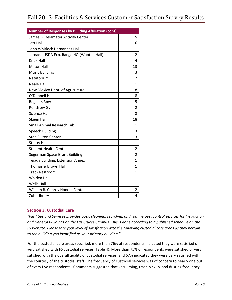| <b>Number of Responses by Building Affiliation (cont)</b> |                |
|-----------------------------------------------------------|----------------|
| James B. Delamater Activity Center                        | 5              |
| <b>Jett Hall</b>                                          | 6              |
| John Whitlock Hernandez Hall                              | 1              |
| Jornada USDA Exp. Range HQ (Wooten Hall)                  | 2              |
| Knox Hall                                                 | 4              |
| <b>Milton Hall</b>                                        | 13             |
| <b>Music Building</b>                                     | 3              |
| Natatorium                                                | 2              |
| <b>Neale Hall</b>                                         | $\mathbf{1}$   |
| New Mexico Dept. of Agriculture                           | 8              |
| O'Donnell Hall                                            | 8              |
| <b>Regents Row</b>                                        | 15             |
| <b>Rentfrow Gym</b>                                       | 2              |
| <b>Science Hall</b>                                       | 8              |
| <b>Skeen Hall</b>                                         | 18             |
| <b>Small Animal Research Lab</b>                          | $\mathbf{1}$   |
| <b>Speech Building</b>                                    | 3              |
| <b>Stan Fulton Center</b>                                 | 3              |
| <b>Stucky Hall</b>                                        | $\mathbf{1}$   |
| <b>Student Health Center</b>                              | $\overline{2}$ |
| <b>Sugerman Space Grant Building</b>                      | $\overline{2}$ |
| Tejada Building, Extension Annex                          | $\mathbf{1}$   |
| Thomas & Brown Hall                                       | 1              |
| <b>Track Restroom</b>                                     | 1              |
| <b>Walden Hall</b>                                        | 1              |
| <b>Wells Hall</b>                                         | $\mathbf{1}$   |
| William B. Conroy Honors Center                           | 2              |
| Zuhl Library                                              | 4              |

#### <span id="page-6-0"></span>**Section 3: Custodial Care**

*"Facilities and Services provides basic cleaning, recycling, and routine pest control services for Instruction and General Buildings on the Las Cruces Campus. This is done according to a published schedule on the FS website. Please rate your level of satisfaction with the following custodial care areas as they pertain to the building you identified as your primary building."*

For the custodial care areas specified, more than 76% of respondents indicated they were satisfied or very satisfied with FS custodial services (Table 4). More than 75% of respondents were satisfied or very satisfied with the overall quality of custodial services; and 67% indicated they were very satisfied with the courtesy of the custodial staff. The frequency of custodial services was of concern to nearly one out of every five respondents. Comments suggested that vacuuming, trash pickup, and dusting frequency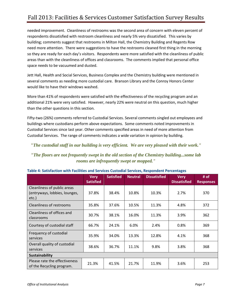# Fall 2013: Facilities & Services Customer Satisfaction Survey Results

needed improvement. Cleanliness of restrooms was the second area of concern with eleven percent of respondents dissatisfied with restroom cleanliness and nearly 5% very dissatisfied. This varies by building; comments suggest that restrooms in Milton Hall, the Chemistry Building and Regents Row need more attention. There were suggestions to have the restrooms cleaned first thing in the morning so they are ready for each day's visitors. Respondents were more satisfied with the cleanliness of public areas than with the cleanliness of offices and classrooms. The comments implied that personal office space needs to be vacuumed and dusted.

Jett Hall, Health and Social Services, Business Complex and the Chemistry building were mentioned in several comments as needing more custodial care. Branson Library and the Conroy Honors Center would like to have their windows washed.

More than 41% of respondents were satisfied with the effectiveness of the recycling program and an additional 21% were very satisfied. However, nearly 22% were neutral on this question, much higher than the other questions in this section.

Fifty-two (26%) comments referred to Custodial Services. Several comments singled out employees and buildings where custodians perform above expectations. Some comments noted improvements in Custodial Services since last year. Other comments specified areas in need of more attention from Custodial Services. The range of comments indicates a wide variation in opinion by building.

*"The custodial staff in our building is very efficient. We are very pleased with their work."*

# *"The floors are not frequently swept in the old section of the Chemistry building...some lab rooms are infrequently swept or mopped."*

|                                                                       | <b>Very</b><br><b>Satisfied</b> | <b>Satisfied</b> | <b>Neutral</b> | <b>Dissatisfied</b> | <b>Very</b><br><b>Dissatisfied</b> | # of<br><b>Responses</b> |
|-----------------------------------------------------------------------|---------------------------------|------------------|----------------|---------------------|------------------------------------|--------------------------|
| Cleanliness of public areas<br>(entryways, lobbies, lounges,<br>etc.) | 37.8%                           | 38.4%            | 10.8%          | 10.3%               | 2.7%                               | 370                      |
| Cleanliness of restrooms                                              | 35.8%                           | 37.6%            | 10.5%          | 11.3%               | 4.8%                               | 372                      |
| Cleanliness of offices and<br>classrooms                              | 30.7%                           | 38.1%            | 16.0%          | 11.3%               | 3.9%                               | 362                      |
| Courtesy of custodial staff                                           | 66.7%                           | 24.1%            | 6.0%           | 2.4%                | 0.8%                               | 369                      |
| Frequency of custodial<br>services                                    | 35.9%                           | 34.0%            | 13.3%          | 12.8%               | 4.1%                               | 368                      |
| Overall quality of custodial<br>services                              | 38.6%                           | 36.7%            | 11.1%          | 9.8%                | 3.8%                               | 368                      |
| <b>Sustainability</b>                                                 |                                 |                  |                |                     |                                    |                          |
| Please rate the effectiveness<br>of the Recycling program.            | 21.3%                           | 41.5%            | 21.7%          | 11.9%               | 3.6%                               | 253                      |

<span id="page-7-0"></span>

|  |  |  | Table 4: Satisfaction with Facilities and Services Custodial Services, Respondent Percentages |
|--|--|--|-----------------------------------------------------------------------------------------------|
|--|--|--|-----------------------------------------------------------------------------------------------|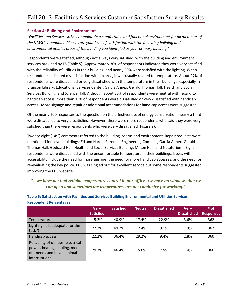#### <span id="page-8-0"></span>**Section 4: Building and Environment**

*"Facilities and Services strives to maintain a comfortable and functional environment for all members of the NMSU community. Please rate your level of satisfaction with the following building and environmental utilities areas of the building you identified as your primary building."*

Respondents were satisfied, although not always very satisfied, with the building and environment services provided by FS (Table 5). Approximately 30% of respondents indicated they were very satisfied with the reliability of utilities in their building, and nearly 50% were satisfied with the lighting. When respondents indicated dissatisfaction with an area, it was usually related to temperature. About 27% of respondents were dissatisfied or very dissatisfied with the temperature in their buildings, especially in Branson Library, Educational Services Center, Garcia Annex, Gerald Thomas Hall, Health and Social Services Building, and Science Hall. Although about 30% of respondents were neutral with regard to handicap access, more than 15% of respondents were dissatisfied or very dissatisfied with handicap access. More signage and repair or additional accommodations for handicap access were suggested.

Of the nearly 200 responses to the question on the effectiveness of energy conservation, nearly a third were dissatisfied to very dissatisfied. However, there were more respondents who said they were very satisfied than there were respondents who were very dissatisfied (Figure 2).

Twenty-eight (14%) comments referred to the building, rooms and environment. Repair requests were mentioned for seven buildings: Ed and Harold Foreman Engineering Complex, Garcia Annex, Gerald Thomas Hall, Goddard Hall, Health and Social Services Building, Milton Hall, and Natatorium. Eight respondents were dissatisfied with the uncomfortable temperature in their buildings. Issues with accessibility include the need for more signage, the need for more handicap accesses, and the need for re-evaluating the key policy. EHS was singled out for excellent service but some respondents suggested improving the EHS website.

# *"...we have not had reliable temperature control in our office--we have no windows that we can open and sometimes the temperatures are not conducive for working."*

|                                                                                                                       | <b>Very</b>      | <b>Satisfied</b> | <b>Neutral</b> | <b>Dissatisfied</b> | <b>Very</b>         | # of             |
|-----------------------------------------------------------------------------------------------------------------------|------------------|------------------|----------------|---------------------|---------------------|------------------|
|                                                                                                                       | <b>Satisfied</b> |                  |                |                     | <b>Dissatisfied</b> | <b>Responses</b> |
| Temperature                                                                                                           | 15.2%            | 40.9%            | 17.4%          | 22.9%               | 3.6%                | 362              |
| Lighting (Is it adequate for the<br>task?)                                                                            | 27.3%            | 49.2%            | 12.4%          | 9.1%                | 1.9%                | 362              |
| Handicap access                                                                                                       | 22.2%            | 36.4%            | 29.2%          | 9.4%                | 2.8%                | 360              |
| Reliability of utilities (electrical<br>power, heating, cooling, meet<br>our needs and have minimal<br>interruptions) | 29.7%            | 46.4%            | 15.0%          | 7.5%                | 1.4%                | 360              |

#### <span id="page-8-1"></span>**Table 5: Satisfaction with Facilities and Services Building Environmental and Utilities Services, Respondent Percentages**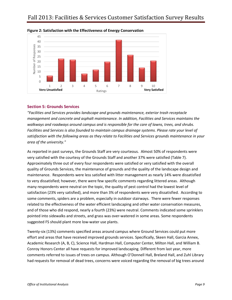

<span id="page-9-0"></span>

#### <span id="page-9-1"></span>**Section 5: Grounds Services**

*"Facilities and Services provides landscape and grounds maintenance, exterior trash receptacle management and concrete and asphalt maintenance. In addition, Facilities and Services maintains the walkways and roadways around campus and is responsible for the care of lawns, trees, and shrubs. Facilities and Services is also founded to maintain campus drainage systems. Please rate your level of satisfaction with the following areas as they relate to Facilities and Services grounds maintenance in your area of the university."*

As reported in past surveys, the Grounds Staff are very courteous. Almost 50% of respondents were very satisfied with the courtesy of the Grounds Staff and another 37% were satisfied (Table 7). Approximately three out of every four respondents were satisfied or very satisfied with the overall quality of Grounds Services, the maintenance of grounds and the quality of the landscape design and maintenance. Respondents were less satisfied with litter management as nearly 14% were dissatisfied to very dissatisfied; however, there were few specific comments regarding littered areas. Although many respondents were neutral on the topic, the quality of pest control had the lowest level of satisfaction (23% very satisfied), and more than 3% of respondents were very dissatisfied. According to some comments, spiders are a problem, especially in outdoor stairways. There were fewer responses related to the effectiveness of the water efficient landscaping and other water conservation measures, and of those who did respond, nearly a fourth (23%) were neutral. Comments indicated some sprinklers pointed into sidewalks and streets, and grass was over-watered in some areas. Some respondents suggested FS should plant more low-water use plants.

Twenty-six (13%) comments specified areas around campus where Ground Services could put more effort and areas that have received improved grounds services. Specifically, Skeen Hall, Garcia Annex, Academic Research (A, B, C), Science Hall, Hardman Hall, Computer Center, Milton Hall, and William B. Conroy Honors Center all have requests for improved landscaping. Different from last year, more comments referred to issues of trees on campus. Although O'Donnell Hall, Breland Hall, and Zuhl Library had requests for removal of dead trees, concerns were voiced regarding the removal of big trees around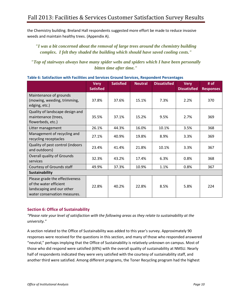the Chemistry building. Breland Hall respondents suggested more effort be made to reduce invasive weeds and maintain healthy trees. (Appendix A).

# *"I was a bit concerned about the removal of large trees around the chemistry building complex. I felt they shaded the building which should have saved cooling costs."*

*"Top of stairways always have many spider webs and spiders which I have been personally bitten time after time."*

|                                                                                                                       | <b>Very</b><br><b>Satisfied</b> | <b>Satisfied</b> | <b>Neutral</b> | <b>Dissatisfied</b> | <b>Very</b><br><b>Dissatisfied</b> | # of<br><b>Responses</b> |
|-----------------------------------------------------------------------------------------------------------------------|---------------------------------|------------------|----------------|---------------------|------------------------------------|--------------------------|
| Maintenance of grounds<br>(mowing, weeding, trimming,<br>edging, etc.)                                                | 37.8%                           | 37.6%            | 15.1%          | 7.3%                | 2.2%                               | 370                      |
| Quality of landscape design and<br>maintenance (trees,<br>flowerbeds, etc.)                                           | 35.5%                           | 37.1%            | 15.2%          | 9.5%                | 2.7%                               | 369                      |
| Litter management                                                                                                     | 26.1%                           | 44.3%            | 16.0%          | 10.1%               | 3.5%                               | 368                      |
| Management of recycling and<br>recycling receptacles                                                                  | 27.1%                           | 40.9%            | 19.8%          | 8.9%                | 3.3%                               | 369                      |
| Quality of pest control (indoors<br>and outdoors)                                                                     | 23.4%                           | 41.4%            | 21.8%          | 10.1%               | 3.3%                               | 367                      |
| <b>Overall quality of Grounds</b><br>services                                                                         | 32.3%                           | 43.2%            | 17.4%          | 6.3%                | 0.8%                               | 368                      |
| Courtesy of Grounds staff                                                                                             | 49.9%                           | 37.3%            | 10.9%          | 1.1%                | 0.8%                               | 367                      |
| <b>Sustainability</b>                                                                                                 |                                 |                  |                |                     |                                    |                          |
| Please grade the effectiveness<br>of the water efficient<br>landscaping and our other<br>water conservation measures. | 22.8%                           | 40.2%            | 22.8%          | 8.5%                | 5.8%                               | 224                      |

#### <span id="page-10-0"></span>**Table 6: Satisfaction with Facilities and Services Ground Services, Respondent Percentages**

#### <span id="page-10-1"></span>**Section 6: Office of Sustainability**

*"Please rate your level of satisfaction with the following areas as they relate to sustainability at the university."*

A section related to the Office of Sustainability was added to this year's survey. Approximately 90 responses were received for the questions in this section, and many of those who responded answered "neutral," perhaps implying that the Office of Sustainability is relatively unknown on campus. Most of those who did respond were satisfied (69%) with the overall quality of sustainability at NMSU. Nearly half of respondents indicated they were very satisfied with the courtesy of sustainability staff, and another third were satisfied. Among different programs, the Toner Recycling program had the highest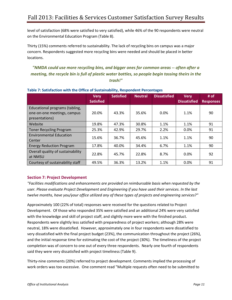level of satisfaction (68% were satisfied to very satisfied), while 46% of the 90 respondents were neutral on the Environmental Education Program (Table 8).

Thirty (15%) comments referred to sustainability. The lack of recycling bins on campus was a major concern. Respondents suggested more recycling bins were needed and should be placed in better locations.

*"NMDA could use more recycling bins, and bigger ones for common areas -- often after a meeting, the recycle bin is full of plastic water bottles, so people begin tossing theirs in the trash!"*

|                                                                                 | <b>Very</b><br><b>Satisfied</b> | <b>Satisfied</b> | <b>Neutral</b> | <b>Dissatisfied</b> | <b>Very</b><br><b>Dissatisfied</b> | # of<br><b>Responses</b> |
|---------------------------------------------------------------------------------|---------------------------------|------------------|----------------|---------------------|------------------------------------|--------------------------|
| Educational programs (tabling,<br>one-on-one meetings, campus<br>presentations) | 20.0%                           | 43.3%            | 35.6%          | 0.0%                | 1.1%                               | 90                       |
| Website                                                                         | 19.8%                           | 47.3%            | 30.8%          | 1.1%                | 1.1%                               | 91                       |
| <b>Toner Recycling Program</b>                                                  | 25.3%                           | 42.9%            | 29.7%          | 2.2%                | 0.0%                               | 91                       |
| <b>Environmental Education</b><br>Center                                        | 15.6%                           | 36.7%            | 45.6%          | 1.1%                | 1.1%                               | 90                       |
| <b>Energy Reduction Program</b>                                                 | 17.8%                           | 40.0%            | 34.4%          | 6.7%                | 1.1%                               | 90                       |
| Overall quality of sustainability<br>at NMSU                                    | 22.8%                           | 45.7%            | 22.8%          | 8.7%                | 0.0%                               | 92                       |
| Courtesy of sustainability staff                                                | 49.5%                           | 36.3%            | 13.2%          | 1.1%                | 0.0%                               | 91                       |

#### <span id="page-11-0"></span>**Table 7: Satisfaction with the Office of Sustainability, Respondent Percentages**

## <span id="page-11-1"></span>**Section 7: Project Development**

*"Facilities modifications and enhancements are provided on reimbursable basis when requested by the user. Please evaluate Project Development and Engineering if you have used their services. In the last twelve months, have you/your office utilized any of these types of projects and engineering services?"*

Approximately 100 (22% of total) responses were received for the questions related to Project Development. Of those who responded 35% were satisfied and an additional 24% were very satisfied with the knowledge and skill of project staff, and slightly more were with the finished product. Respondents were slightly less satisfied with preparedness of project workers; although 28% were neutral, 18% were dissatisfied. However, approximately one in four respondents were dissatisfied to very dissatisfied with the final project budget (23%), the communication throughout the project (26%), and the initial response time for estimating the cost of the project (30%). The timeliness of the project completion was of concern to one out of every three respondents. Nearly one fourth of respondents said they were very dissatisfied with project timeliness (Table 9).

Thirty-nine comments (20%) referred to project development. Comments implied the processing of work orders was too excessive. One comment read "Multiple requests often need to be submitted to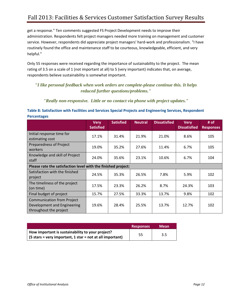get a response." Ten comments suggested FS Project Development needs to improve their administration. Respondents felt project managers needed more training on management and customer service. However, respondents did appreciate project managers' hard-work and professionalism. "I have routinely found the office and maintenance staff to be courteous, knowledgeable, efficient, and very helpful."

Only 55 responses were received regarding the importance of sustainability to the project. The mean rating of 3.5 on a scale of 1 (not important at all) to 5 (very important) indicates that, on average, respondents believe sustainability is somewhat important.

# *"I like personal feedback when work orders are complete-please continue this. It helps reduced further questions/problems."*

*"Really non-responsive. Little or no contact via phone with project updates."* 

# <span id="page-12-0"></span>**Table 8: Satisfaction with Facilities and Services Special Projects and Engineering Services, Respondent Percentages**

|                                                                                            | <b>Very</b><br><b>Satisfied</b> | <b>Satisfied</b> | <b>Neutral</b> | <b>Dissatisfied</b> | <b>Very</b><br><b>Dissatisfied</b> | # of<br><b>Responses</b> |
|--------------------------------------------------------------------------------------------|---------------------------------|------------------|----------------|---------------------|------------------------------------|--------------------------|
| Initial response time for<br>estimating cost                                               | 17.1%                           | 31.4%            | 21.9%          | 21.0%               | 8.6%                               | 105                      |
| <b>Preparedness of Project</b><br>workers                                                  | 19.0%                           | 35.2%            | 27.6%          | 11.4%               | 6.7%                               | 105                      |
| Knowledge and skill of Project<br>staff                                                    | 24.0%                           | 35.6%            | 23.1%          | 10.6%               | 6.7%                               | 104                      |
| Please rate the satisfaction level with the finished project:                              |                                 |                  |                |                     |                                    |                          |
| Satisfaction with the finished<br>project                                                  | 24.5%                           | 35.3%            | 26.5%          | 7.8%                | 5.9%                               | 102                      |
| The timeliness of the project<br>(on time)                                                 | 17.5%                           | 23.3%            | 26.2%          | 8.7%                | 24.3%                              | 103                      |
| Final budget of project                                                                    | 15.7%                           | 27.5%            | 33.3%          | 13.7%               | 9.8%                               | 102                      |
| <b>Communication from Project</b><br>Development and Engineering<br>throughout the project | 19.6%                           | 28.4%            | 25.5%          | 13.7%               | 12.7%                              | 102                      |

|                                                                                                                       | <b>Responses</b> | <b>Mean</b> |
|-----------------------------------------------------------------------------------------------------------------------|------------------|-------------|
| How important is sustainability to your project?<br>$\vert$ (5 stars = very important, 1 star = not at all important) | 55               | 3.5         |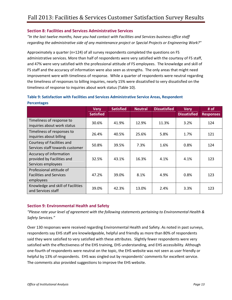#### <span id="page-13-0"></span>**Section 8: Facilities and Services Administrative Services**

*"In the last twelve months, have you had contact with Facilities and Services business office staff regarding the administrative side of any maintenance project or Special Projects or Engineering Work?"*

Approximately a quarter (n=124) of all survey respondents completed the questions on FS administrative services. More than half of respondents were very satisfied with the courtesy of FS staff, and 47% were very satisfied with the professional attitude of FS employees. The knowledge and skill of FS staff and the accuracy of information were also seen as strengths. The only areas that might need improvement were with timeliness of response. While a quarter of respondents were neutral regarding the timeliness of responses to billing inquiries, nearly 15% were dissatisfied to very dissatisfied on the timeliness of response to inquiries about work status (Table 10).

|                                                                             | <b>Very</b><br><b>Satisfied</b> | <b>Satisfied</b> | <b>Neutral</b> | <b>Dissatisfied</b> | <b>Very</b><br><b>Dissatisfied</b> | # of<br><b>Responses</b> |
|-----------------------------------------------------------------------------|---------------------------------|------------------|----------------|---------------------|------------------------------------|--------------------------|
| Timeliness of response to<br>inquiries about work status                    | 30.6%                           | 41.9%            | 12.9%          | 11.3%               | 3.2%                               | 124                      |
| Timeliness of responses to<br>inquiries about billing                       | 26.4%                           | 40.5%            | 25.6%          | 5.8%                | 1.7%                               | 121                      |
| Courtesy of Facilities and<br>Services staff towards customer               | 50.8%                           | 39.5%            | 7.3%           | 1.6%                | 0.8%                               | 124                      |
| Accuracy of information<br>provided by Facilities and<br>Services employees | 32.5%                           | 43.1%            | 16.3%          | 4.1%                | 4.1%                               | 123                      |
| Professional attitude of<br><b>Facilities and Services</b><br>employees     | 47.2%                           | 39.0%            | 8.1%           | 4.9%                | 0.8%                               | 123                      |
| Knowledge and skill of Facilities<br>and Services staff                     | 39.0%                           | 42.3%            | 13.0%          | 2.4%                | 3.3%                               | 123                      |

## <span id="page-13-1"></span>**Table 9: Satisfaction with Facilities and Services Administrative Service Areas, Respondent Percentages**

#### <span id="page-13-2"></span>**Section 9: Environmental Health and Safety**

*"Please rate your level of agreement with the following statements pertaining to Environmental Health & Safety Services."*

Over 130 responses were received regarding Environmental Health and Safety. As noted in past surveys, respondents say EHS staff are knowledgeable, helpful and friendly as more than 80% of respondents said they were satisfied to very satisfied with these attributes. Slightly fewer respondents were very satisfied with the effectiveness of the EHS training, EHS understanding, and EHS accessibility. Although one-fourth of respondents were neutral on the topic, the EHS website was not seen as user friendly or helpful by 13% of respondents. EHS was singled out by respondents' comments for excellent service. The comments also provided suggestions to improve the EHS website.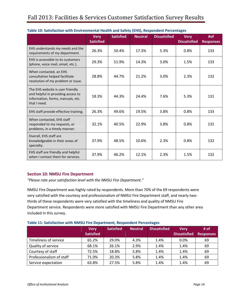|                                                                                                                             | <b>Very</b><br><b>Satisfied</b> | <b>Satisfied</b> | <b>Neutral</b> | <b>Dissatisfied</b> | <b>Very</b><br><b>Dissatisfied</b> | #of<br><b>Responses</b> |
|-----------------------------------------------------------------------------------------------------------------------------|---------------------------------|------------------|----------------|---------------------|------------------------------------|-------------------------|
| EHS understands my needs and the<br>requirements of my department.                                                          | 26.3%                           | 50.4%            | 17.3%          | 5.3%                | 0.8%                               | 133                     |
| EHS is accessible to its customers<br>(phone, voice mail, email, etc.).                                                     | 29.3%                           | 51.9%            | 14.3%          | 3.0%                | 1.5%                               | 133                     |
| When contacted, an EHS<br>consultation helped facilitate<br>resolution of my problem or issue.                              | 28.8%                           | 44.7%            | 21.2%          | 3.0%                | 2.3%                               | 132                     |
| The EHS website is user friendly<br>and helpful in providing access to<br>information, forms, manuals, etc.<br>that I need. | 18.3%                           | 44.3%            | 24.4%          | 7.6%                | 5.3%                               | 131                     |
| EHS staff provide effective training.                                                                                       | 26.3%                           | 49.6%            | 19.5%          | 3.8%                | 0.8%                               | 133                     |
| When contacted, EHS staff<br>responded to my requests, or<br>problems, in a timely manner.                                  | 32.1%                           | 40.5%            | 22.9%          | 3.8%                | 0.8%                               | 131                     |
| Overall, EHS staff are<br>knowledgeable in their areas of<br>specialty.                                                     | 37.9%                           | 48.5%            | 10.6%          | 2.3%                | 0.8%                               | 132                     |
| EHS staff are friendly and helpful<br>when I contact them for services.                                                     | 37.9%                           | 46.2%            | 12.1%          | 2.3%                | 1.5%                               | 132                     |

#### <span id="page-14-0"></span>**Table 10: Satisfaction with Environmental Health and Safety (EHS), Respondent Percentages**

#### <span id="page-14-1"></span>**Section 10: NMSU Fire Department**

*"Please rate your satisfaction level with the NMSU Fire Department."*

NMSU Fire Department was highly rated by respondents. More than 70% of the 69 respondents were very satisfied with the courtesy and professionalism of NMSU Fire Department staff, and nearly twothirds of these respondents were very satisfied with the timeliness and quality of NMSU Fire Department service. Respondents were more satisfied with NMSU Fire Department than any other area included in this survey.

<span id="page-14-2"></span>

| Table 11: Satisfaction with NMSU Fire Department, Respondent Percentages |  |  |
|--------------------------------------------------------------------------|--|--|
|--------------------------------------------------------------------------|--|--|

|                          | <b>Very</b><br><b>Satisfied</b> | <b>Satisfied</b> | <b>Neutral</b> | <b>Dissatisfied</b> | <b>Verv</b><br><b>Dissatisfied</b> | # of<br><b>Responses</b> |
|--------------------------|---------------------------------|------------------|----------------|---------------------|------------------------------------|--------------------------|
| Timeliness of service    | 65.2%                           | 29.0%            | 4.3%           | 1.4%                | $0.0\%$                            | 69                       |
| Quality of service       | 68.1%                           | 26.1%            | 2.9%           | 1.4%                | 1.4%                               | 69                       |
| Courtesy of staff        | 72.5%                           | 18.8%            | 5.8%           | 1.4%                | 1.4%                               | 69                       |
| Professionalism of staff | 71.0%                           | 20.3%            | 5.8%           | 1.4%                | 1.4%                               | 69                       |
| Service expectation      | 63.8%                           | 27.5%            | 5.8%           | 1.4%                | 1.4%                               | 69                       |